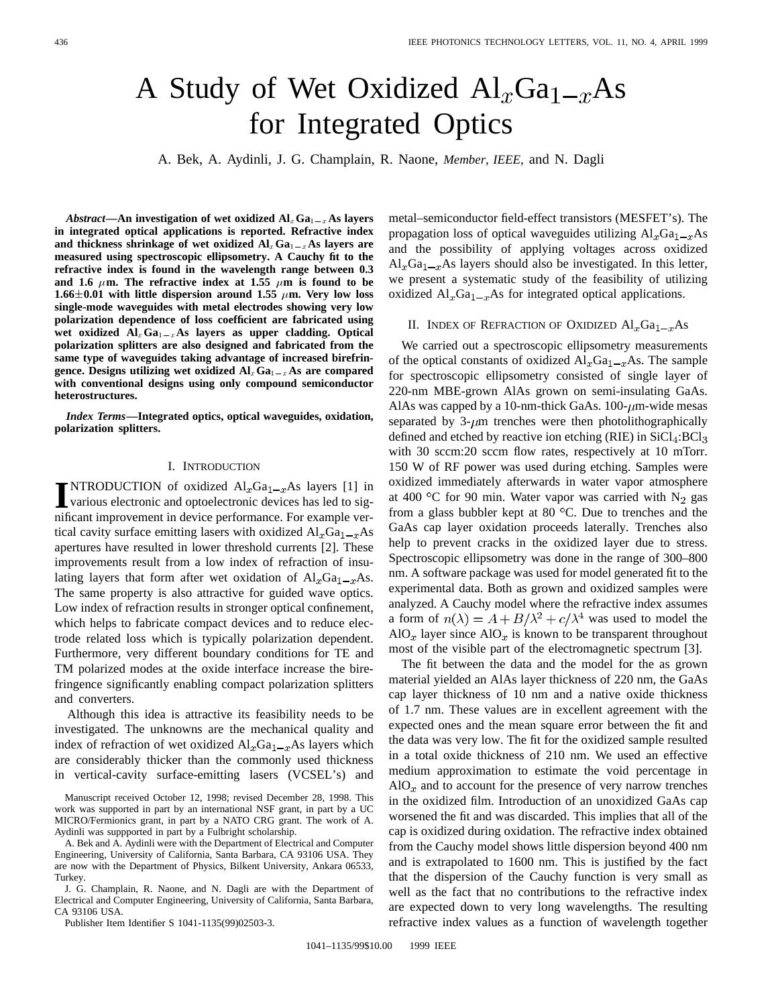# A Study of Wet Oxidized  $Al_xGa_{1-x}As$ for Integrated Optics

A. Bek, A. Aydinli, J. G. Champlain, R. Naone, *Member, IEEE,* and N. Dagli

*Abstract*—An investigation of wet oxidized  $AI_xGa_{1-x}$ As layers **in integrated optical applications is reported. Refractive index** and thickness shrinkage of wet oxidized  $AI_xGa_{1-x}As$  layers are **measured using spectroscopic ellipsometry. A Cauchy fit to the refractive index is found in the wavelength range between 0.3** and 1.6  $\mu$ m. The refractive index at 1.55  $\mu$ m is found to be 1.66 $\pm$ 0.01 with little dispersion around 1.55  $\mu$ m. Very low loss **single-mode waveguides with metal electrodes showing very low polarization dependence of loss coefficient are fabricated using** single-mode waveguides with metal electrodes showing very low<br>polarization dependence of loss coefficient are fabricated using<br>wet oxidized  $Al_xGa_{1-x}As$  layers as upper cladding. Optical polarization splitters are also designed and fabricated from the same type of waveguides taking advantage of increased birefringence. Designs utilizing wet oxidized  $Al_xGa_{1-x}As$  are compared **same type of waveguides taking advantage of increased birefrinwith conventional designs using only compound semiconductor heterostructures.**

*Index Terms—***Integrated optics, optical waveguides, oxidation, polarization splitters.**

## I. INTRODUCTION

**I**NTRODUCTION of oxidized  $AI_xGa_{1-x}As$  layers [1] in various electronic and optoelectronic devices has led to significant improperties that in the signal state of  $I_x$ various electronic and optoelectronic devices has led to significant improvement in device performance. For example vertical cavity surface emitting lasers with oxidized  $Al_xGa_{1-x}As$ apertures have resulted in lower threshold currents [2]. These improvements result from a low index of refraction of insulating layers that form after wet oxidation of  $\text{Al}_x\text{Ga}_{1-x}\text{As}.$ The same property is also attractive for guided wave optics. Low index of refraction results in stronger optical confinement, which helps to fabricate compact devices and to reduce electrode related loss which is typically polarization dependent. Furthermore, very different boundary conditions for TE and TM polarized modes at the oxide interface increase the birefringence significantly enabling compact polarization splitters and converters.

Although this idea is attractive its feasibility needs to be investigated. The unknowns are the mechanical quality and index of refraction of wet oxidized  $\text{Al}_x\text{Ga}_{1-x}\text{As}$  layers which are considerably thicker than the commonly used thickness in vertical-cavity surface-emitting lasers (VCSEL's) and

Manuscript received October 12, 1998; revised December 28, 1998. This work was supported in part by an international NSF grant, in part by a UC MICRO/Fermionics grant, in part by a NATO CRG grant. The work of A. Aydinli was suppported in part by a Fulbright scholarship.

A. Bek and A. Aydinli were with the Department of Electrical and Computer Engineering, University of California, Santa Barbara, CA 93106 USA. They are now with the Department of Physics, Bilkent University, Ankara 06533, **Turkey** 

J. G. Champlain, R. Naone, and N. Dagli are with the Department of Electrical and Computer Engineering, University of California, Santa Barbara, CA 93106 USA.

Publisher Item Identifier S 1041-1135(99)02503-3.

metal–semiconductor field-effect transistors (MESFET's). The propagation loss of optical waveguides utilizing  $Al_xGa_{1-x}As$ and the possibility of applying voltages across oxidized  $\text{Al}_x\text{Ga}_{1-x}\text{As}$  layers should also be investigated. In this letter, we present a systematic study of the feasibility of utilizing oxidized  $Al_xGa_{1-x}As$  for integrated optical applications.

# II. INDEX OF REFRACTION OF OXIDIZED  $\text{Al}_x\text{Ga}_{1-x}\text{As}$

We carried out a spectroscopic ellipsometry measurements of the optical constants of oxidized  $\text{Al}_x\text{Ga}_{1-x}\text{As}$ . The sample for spectroscopic ellipsometry consisted of single layer of 220-nm MBE-grown AlAs grown on semi-insulating GaAs. AlAs was capped by a 10-nm-thick GaAs.  $100$ - $\mu$ m-wide mesas separated by  $3-\mu m$  trenches were then photolithographically defined and etched by reactive ion etching (RIE) in  $SiCl<sub>4</sub>:BCl<sub>3</sub>$ with 30 sccm: 20 sccm flow rates, respectively at 10 mTorr. 150 W of RF power was used during etching. Samples were oxidized immediately afterwards in water vapor atmosphere at 400 °C for 90 min. Water vapor was carried with  $N_2$  gas from a glass bubbler kept at 80  $^{\circ}$ C. Due to trenches and the GaAs cap layer oxidation proceeds laterally. Trenches also help to prevent cracks in the oxidized layer due to stress. Spectroscopic ellipsometry was done in the range of 300–800 nm. A software package was used for model generated fit to the experimental data. Both as grown and oxidized samples were analyzed. A Cauchy model where the refractive index assumes a form of  $n(\lambda) = A + B/\lambda^2 + c/\lambda^4$  was used to model the AlO<sub>x</sub> layer since AlO<sub>x</sub> is known to be transparent throughout most of the visible part of the electromagnetic spectrum [3].

The fit between the data and the model for the as grown material yielded an AlAs layer thickness of 220 nm, the GaAs cap layer thickness of 10 nm and a native oxide thickness of 1.7 nm. These values are in excellent agreement with the expected ones and the mean square error between the fit and the data was very low. The fit for the oxidized sample resulted in a total oxide thickness of 210 nm. We used an effective medium approximation to estimate the void percentage in  $AIO<sub>x</sub>$  and to account for the presence of very narrow trenches in the oxidized film. Introduction of an unoxidized GaAs cap worsened the fit and was discarded. This implies that all of the cap is oxidized during oxidation. The refractive index obtained from the Cauchy model shows little dispersion beyond 400 nm and is extrapolated to 1600 nm. This is justified by the fact that the dispersion of the Cauchy function is very small as well as the fact that no contributions to the refractive index are expected down to very long wavelengths. The resulting refractive index values as a function of wavelength together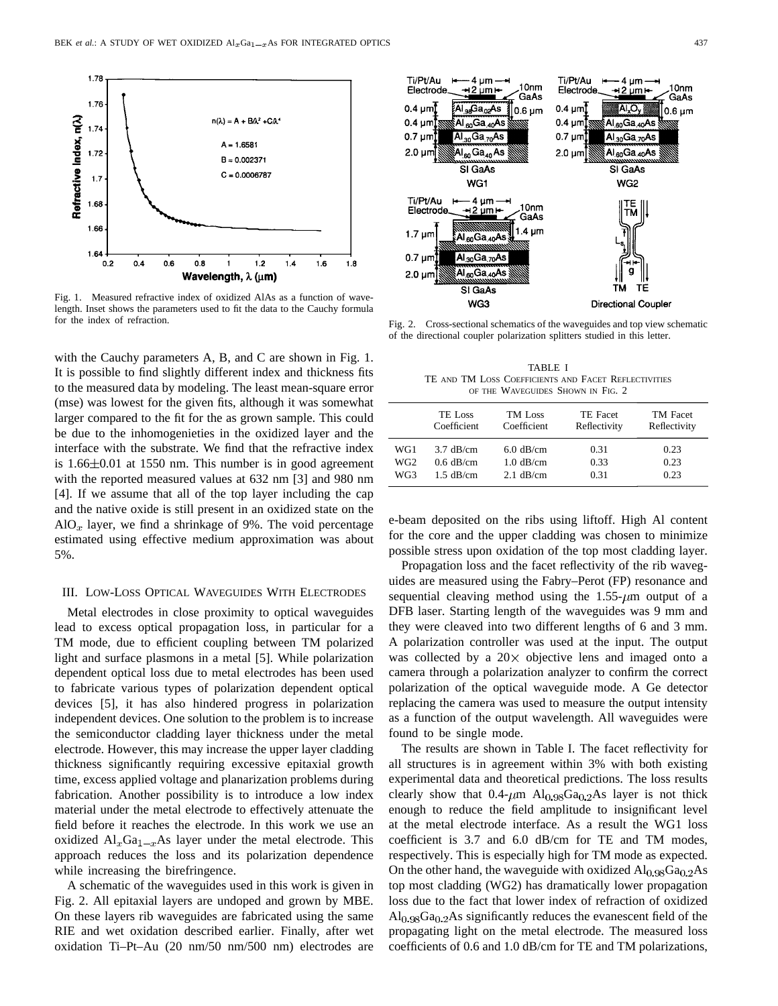

Fig. 1. Measured refractive index of oxidized AlAs as a function of wavelength. Inset shows the parameters used to fit the data to the Cauchy formula for the index of refraction.

with the Cauchy parameters A, B, and C are shown in Fig. 1. It is possible to find slightly different index and thickness fits to the measured data by modeling. The least mean-square error (mse) was lowest for the given fits, although it was somewhat larger compared to the fit for the as grown sample. This could be due to the inhomogenieties in the oxidized layer and the interface with the substrate. We find that the refractive index is  $1.66 \pm 0.01$  at 1550 nm. This number is in good agreement with the reported measured values at 632 nm [3] and 980 nm [4]. If we assume that all of the top layer including the cap and the native oxide is still present in an oxidized state on the  $AIO_x$  layer, we find a shrinkage of 9%. The void percentage estimated using effective medium approximation was about 5%.

### III. LOW-LOSS OPTICAL WAVEGUIDES WITH ELECTRODES

Metal electrodes in close proximity to optical waveguides lead to excess optical propagation loss, in particular for a TM mode, due to efficient coupling between TM polarized light and surface plasmons in a metal [5]. While polarization dependent optical loss due to metal electrodes has been used to fabricate various types of polarization dependent optical devices [5], it has also hindered progress in polarization independent devices. One solution to the problem is to increase the semiconductor cladding layer thickness under the metal electrode. However, this may increase the upper layer cladding thickness significantly requiring excessive epitaxial growth time, excess applied voltage and planarization problems during fabrication. Another possibility is to introduce a low index material under the metal electrode to effectively attenuate the field before it reaches the electrode. In this work we use an oxidized  $Al_xGa_{1-x}As$  layer under the metal electrode. This approach reduces the loss and its polarization dependence while increasing the birefringence.

A schematic of the waveguides used in this work is given in Fig. 2. All epitaxial layers are undoped and grown by MBE. On these layers rib waveguides are fabricated using the same RIE and wet oxidation described earlier. Finally, after wet oxidation Ti–Pt–Au (20 nm/50 nm/500 nm) electrodes are



Fig. 2. Cross-sectional schematics of the waveguides and top view schematic of the directional coupler polarization splitters studied in this letter.

TABLE I TE AND TM LOSS COEFFICIENTS AND FACET REFLECTIVITIES OF THE WAVEGUIDES SHOWN IN FIG. 2

|                 | <b>TE Loss</b><br>Coefficient | <b>TM</b> Loss<br>Coefficient | TE Facet<br>Reflectivity | <b>TM</b> Facet<br>Reflectivity |
|-----------------|-------------------------------|-------------------------------|--------------------------|---------------------------------|
| WG1             | $3.7$ dB/cm                   | $6.0$ dB/cm                   | 0.31                     | 0.23                            |
| WG <sub>2</sub> | $0.6$ dB/cm                   | $1.0$ dB/cm                   | 0.33                     | 0.23                            |
| WG3             | $1.5$ dB/cm                   | $2.1$ dB/cm                   | 0.31                     | 0.23                            |

e-beam deposited on the ribs using liftoff. High Al content for the core and the upper cladding was chosen to minimize possible stress upon oxidation of the top most cladding layer.

Propagation loss and the facet reflectivity of the rib waveguides are measured using the Fabry–Perot (FP) resonance and sequential cleaving method using the  $1.55-\mu m$  output of a DFB laser. Starting length of the waveguides was 9 mm and they were cleaved into two different lengths of 6 and 3 mm. A polarization controller was used at the input. The output was collected by a  $20 \times$  objective lens and imaged onto a camera through a polarization analyzer to confirm the correct polarization of the optical waveguide mode. A Ge detector replacing the camera was used to measure the output intensity as a function of the output wavelength. All waveguides were found to be single mode.

The results are shown in Table I. The facet reflectivity for all structures is in agreement within 3% with both existing experimental data and theoretical predictions. The loss results clearly show that  $0.4-\mu m$  Al<sub>0.98</sub>Ga<sub>0.2</sub>As layer is not thick enough to reduce the field amplitude to insignificant level at the metal electrode interface. As a result the WG1 loss coefficient is 3.7 and 6.0 dB/cm for TE and TM modes, respectively. This is especially high for TM mode as expected. On the other hand, the waveguide with oxidized  $\text{Al}_{0.98}\text{Ga}_{0.2}\text{As}$ top most cladding (WG2) has dramatically lower propagation loss due to the fact that lower index of refraction of oxidized  $\text{Al}_{0.98}\text{Ga}_{0.2}\text{As}$  significantly reduces the evanescent field of the propagating light on the metal electrode. The measured loss coefficients of 0.6 and 1.0 dB/cm for TE and TM polarizations,